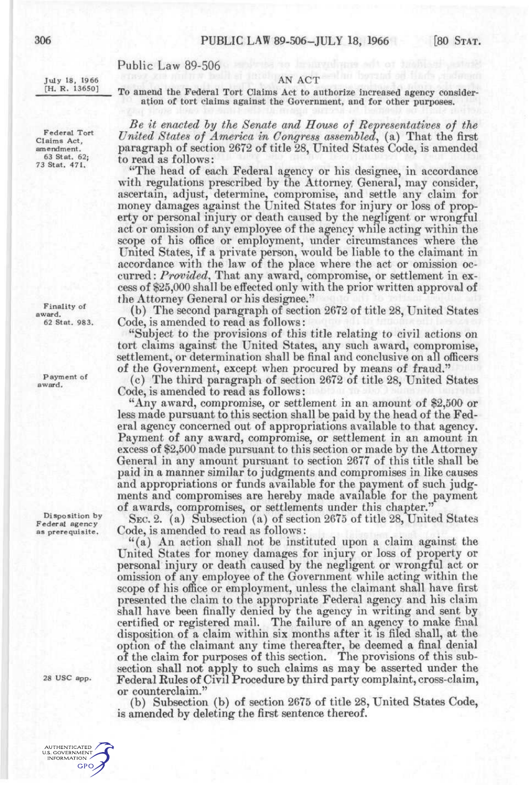# Public Law 89-506

July 18, 1966 [H. R. 13650]

AN ACT To amend the Federal Tort Claims Act to authorize increased agency consideration of tort claims against the Government, and for other purposes.

*Be it enacted hy the Senate and House of Representatives of the*  United States of America in Congress assembled, (a) That the first paragraph of section 2672 of title 28, United States Code, is amended to read as follows:

"The head of each Federal agency or his designee, in accordance with regulations prescribed by the Attorney General, may consider, ascertain, adjust, determine, compromise, and settle any claim for money damages against the United States for injury or loss of property or personal injury or death caused by the negligent or wrongful act or omission of any employee of the agency while acting within the scope of his office or employment, under circumstances where the United States, if a private person, would be liable to the claimant in accordance with the law of the place where the act or omission occurred: *Provided^* That any award, compromise, or settlement in excess of \$25,000 shall be effected only with the prior written approval of the Attorney General or his designee."

(b) The second paragraph of section 2672 of title 28, United States Code, is amended to read as follows:

"Subject to the provisions of this title relating to civil actions on tort claims against the United States, any such award, compromise, settlement, or determination shall be final and conclusive on all officers of the Government, except when procured by means of fraud."

(c) The third paragraph of section 2672 of title 28, United States Code, is amended to read as follows:

"Any award, compromise, or settlement in an amount of \$2,500 or less made pursuant to this section shall be paid by the head of the Federal agency concerned out of appropriations available to that agency^. Payment of any award, compromise, or settlement in an amount in excess of \$2,500 made pursuant to this section or made by the Attorney General in any amount pursuant to section 2677 of this title shall be paid in a manner similar to judgments and compromises in like causes and appropriations or funds available for the payment of such judgments and compromises are hereby made available for the payment of awards, compromises, or settlements under this chapter."

SEC. 2. (a) Subsection (a) of section 2675 of title 28, United States Code, is amended to read as follows:

"(a) An action shall not be instituted upon a claim against the United States for money damages for injury or loss of property or personal injury or death caused by the negligent or wrongful act or omission of any employee of the Government while acting within the scope of his office or employment, unless the claimant shall have first presented the claim to the appropriate Federal agency and his claim shall have been finally denied by the agency in writing and sent by certified or registered mail. The failure of an agency to make final disposition of a claim within six months after it is filed shall, at the option of the claimant any time thereafter, be deemed a final denial of the claim for purposes of this section. The provisions of this subsection shall not apply to such claims as may be asserted under the Federal Rules of Civil Procedure by third party complaint, cross-claim, or counterclaim."

(b) Subsection (b) of section 2675 of title 28, United States Code, is amended by deleting the first sentence thereof.

Claims Act, amendment. 63 Stat. 62; 73 Stat. 471.

Federal Tort

Finality of award. 62 Stat. 983.

Payment of award.

Disposition by Federal agency as prerequisite.

28 USC app.

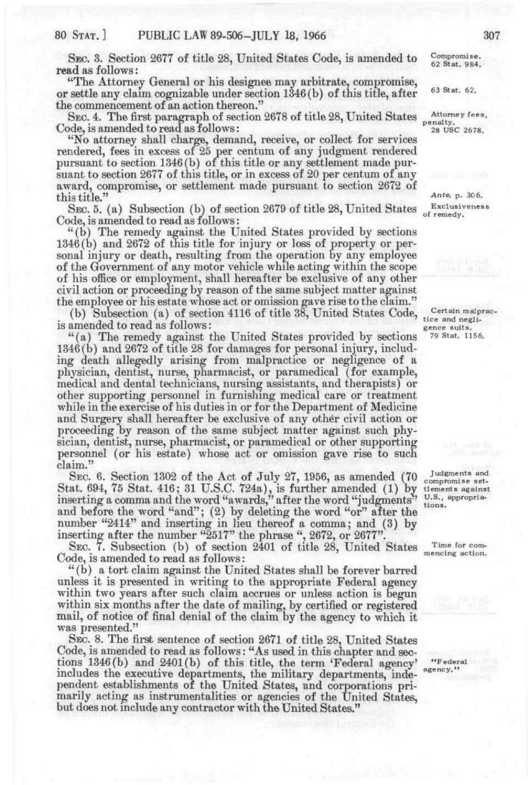SEC. 3. Section 2677 of title 28, United States Code, is amended to read as follows :

"The Attorney General or his designee may arbitrate, compromise, or settle any claim cognizable under section 1346(b) of this title, after the commencement of an action thereon."

SEC. 4. The first paragraph of section 2678 of title 28, United States Code, is amended to read as follows:

"No attorney shall charge, demand, receive, or collect for services rendered, fees in excess of 25 per centum of any judgment rendered pursuant to section 1346 (b) of this title or any settlement made pursuant to section 2677 of this title, or in excess of 20 per centum of any award, compromise, or settlement made pursuant to section 2672 of this title."

SEC. 5. (a) Subsection (b) of section 2679 of title 28, United States Code, is amended to read as follows:

"(b) The remedy against the United States provided by sections 1346(b) and 2672 of this title for injury or loss of property or personal injury or death, resulting from the operation by any employee of the Government of any motor vehicle while acting within the scope of his office or employment, shall hereafter be exclusive of any other civil action or proceeding by reason of the same subject matter against the employee or his estate whose act or omission gave rise to the claim."

(b) Subsection (a) of section 4116 of title 38, United States Code, is amended to read as follows:

"(a ) The remedy against the United States provided by sections 1346(b) and 2672 of title 28 for damages for personal injury, including death allegedly arising from malpractice or negligence of a physician, dentist, nurse, pharmacist, or paramedical (for example, medical and dental technicians, nursing assistants, and therapists) or other supporting personnel in furnishing medical care or treatment while in the exercise of his duties in or for the Department of Medicine and Surgery shall hereafter be exclusive of any other civil action or proceeding by reason of the same subject matter against such physician, dentist, nurse, pharmacist, or paramedical or other supporting personnel (or his estate) whose act or omission gave rise to such claim."

SEC. 6. Section 1302 of the Act of July 27, 1956, as amended (70 Stat. 694, 75 Stat. 416; 31 U.S.C. 724a), is further amended (1) by inserting a comma and the word "awards," after the word "judgments" and before the word "and"; (2) by deleting the word "or" after the number "2414" and inserting in lieu thereof a comma; and (3) by inserting after the number "2517" the phrase ", 2672, or 2677"

SEC. 7. Subsection (b) of section 2401 of title 28, United States Code, is amended to read as follows:

"(b) a tort claim against the United States shall be forever barred unless it is presented in writing to the appropriate Federal agency within two years after such claim accrues or unless action is begun within six months after the date of mailing, by certified or registered mail, of notice of final denial of the claim by the agency to which it was presented."

SEC. 8. The first sentence of section 2671 of title 28, United States Code, is amended to read as follows: "As used in this chapter and sections 1346(b) and 2401(b) of this title, the term 'Federal agency' includes the executive departments, the military departments, independent establishments of the United States, and corporations primarily acting as instrumentalities or agencies of the United States, but does not include any contractor with the United States."

Compromise. 62 Stat. 984.

63 Stat. 62.

Attorney fees, penalty. 28 USC 2678.

Ante. p. 30 6. Exclusiveness of remedy.

Certain malpractice and negligence suits. 79 Stat. 1156.

Judgments and compromise settlements against U.S., appropriations.

Time for commencing action.